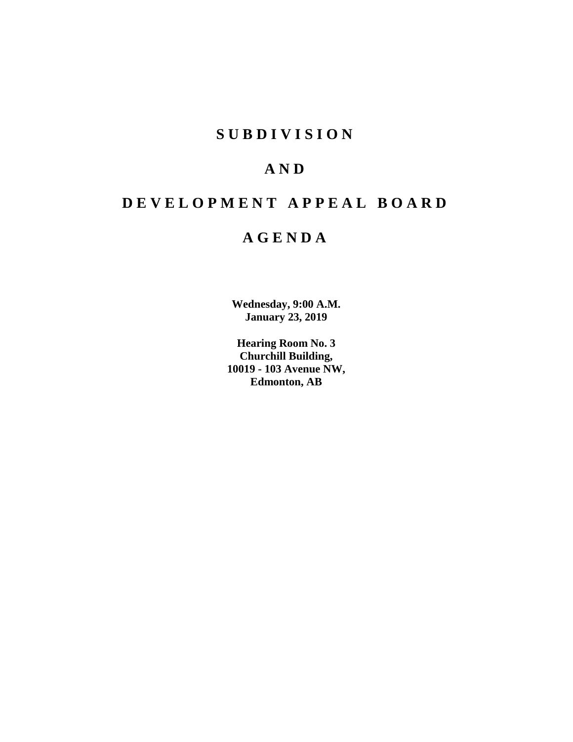# **S U B D I V I S I O N**

# **A N D**

# **D E V E L O P M E N T A P P E A L B O A R D**

# **A G E N D A**

**Wednesday, 9:00 A.M. January 23, 2019**

**Hearing Room No. 3 Churchill Building, 10019 - 103 Avenue NW, Edmonton, AB**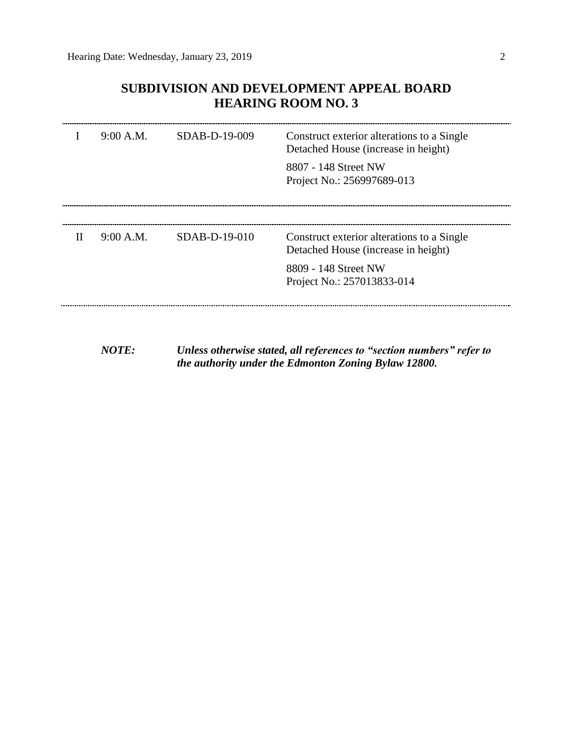## **SUBDIVISION AND DEVELOPMENT APPEAL BOARD HEARING ROOM NO. 3**

|   | 9:00 A.M. | SDAB-D-19-009   | Construct exterior alterations to a Single<br>Detached House (increase in height)<br>8807 - 148 Street NW<br>Project No.: 256997689-013 |
|---|-----------|-----------------|-----------------------------------------------------------------------------------------------------------------------------------------|
| H | 9:00 A.M. | $SDAB-D-19-010$ | Construct exterior alterations to a Single<br>Detached House (increase in height)<br>8809 - 148 Street NW<br>Project No.: 257013833-014 |

*NOTE: Unless otherwise stated, all references to "section numbers" refer to the authority under the Edmonton Zoning Bylaw 12800.*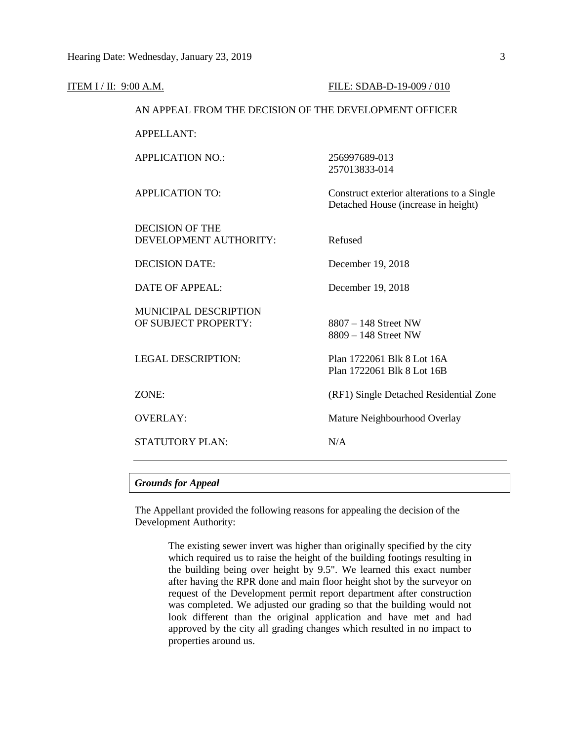| ITEM I / II: 9:00 A.M.                           | FILE: SDAB-D-19-009 / 010                                                         |  |  |  |  |
|--------------------------------------------------|-----------------------------------------------------------------------------------|--|--|--|--|
|                                                  | AN APPEAL FROM THE DECISION OF THE DEVELOPMENT OFFICER                            |  |  |  |  |
| <b>APPELLANT:</b>                                |                                                                                   |  |  |  |  |
| <b>APPLICATION NO.:</b>                          | 256997689-013<br>257013833-014                                                    |  |  |  |  |
| <b>APPLICATION TO:</b>                           | Construct exterior alterations to a Single<br>Detached House (increase in height) |  |  |  |  |
| <b>DECISION OF THE</b><br>DEVELOPMENT AUTHORITY: | Refused                                                                           |  |  |  |  |
| <b>DECISION DATE:</b>                            | December 19, 2018                                                                 |  |  |  |  |
| <b>DATE OF APPEAL:</b>                           | December 19, 2018                                                                 |  |  |  |  |
| MUNICIPAL DESCRIPTION<br>OF SUBJECT PROPERTY:    | 8807 - 148 Street NW<br>$8809 - 148$ Street NW                                    |  |  |  |  |
| <b>LEGAL DESCRIPTION:</b>                        | Plan 1722061 Blk 8 Lot 16A<br>Plan 1722061 Blk 8 Lot 16B                          |  |  |  |  |
| ZONE:                                            | (RF1) Single Detached Residential Zone                                            |  |  |  |  |
| <b>OVERLAY:</b>                                  | Mature Neighbourhood Overlay                                                      |  |  |  |  |
| <b>STATUTORY PLAN:</b>                           | N/A                                                                               |  |  |  |  |
|                                                  |                                                                                   |  |  |  |  |

### *Grounds for Appeal*

The Appellant provided the following reasons for appealing the decision of the Development Authority:

> The existing sewer invert was higher than originally specified by the city which required us to raise the height of the building footings resulting in the building being over height by 9.5". We learned this exact number after having the RPR done and main floor height shot by the surveyor on request of the Development permit report department after construction was completed. We adjusted our grading so that the building would not look different than the original application and have met and had approved by the city all grading changes which resulted in no impact to properties around us.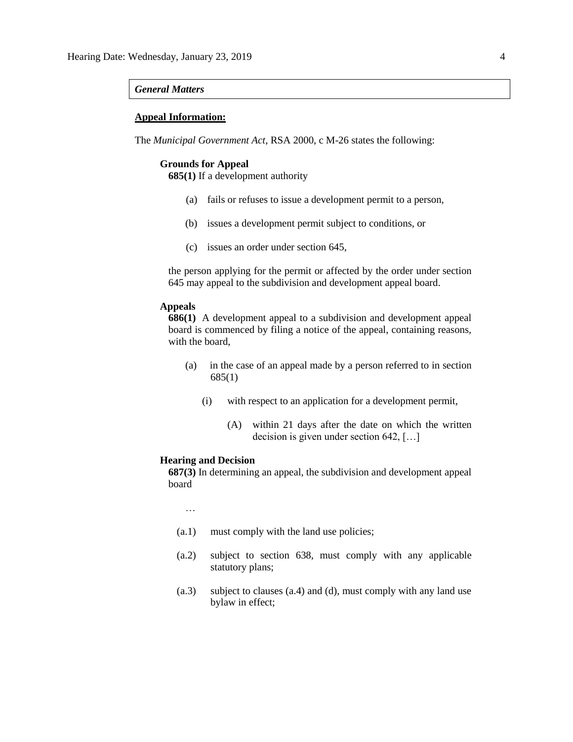#### *General Matters*

#### **Appeal Information:**

The *Municipal Government Act*, RSA 2000, c M-26 states the following:

### **Grounds for Appeal**

**685(1)** If a development authority

- (a) fails or refuses to issue a development permit to a person,
- (b) issues a development permit subject to conditions, or
- (c) issues an order under section 645,

the person applying for the permit or affected by the order under section 645 may appeal to the subdivision and development appeal board.

#### **Appeals**

**686(1)** A development appeal to a subdivision and development appeal board is commenced by filing a notice of the appeal, containing reasons, with the board,

- (a) in the case of an appeal made by a person referred to in section 685(1)
	- (i) with respect to an application for a development permit,
		- (A) within 21 days after the date on which the written decision is given under section 642, [...]

#### **Hearing and Decision**

**687(3)** In determining an appeal, the subdivision and development appeal board

…

- (a.1) must comply with the land use policies;
- (a.2) subject to section 638, must comply with any applicable statutory plans;
- (a.3) subject to clauses (a.4) and (d), must comply with any land use bylaw in effect;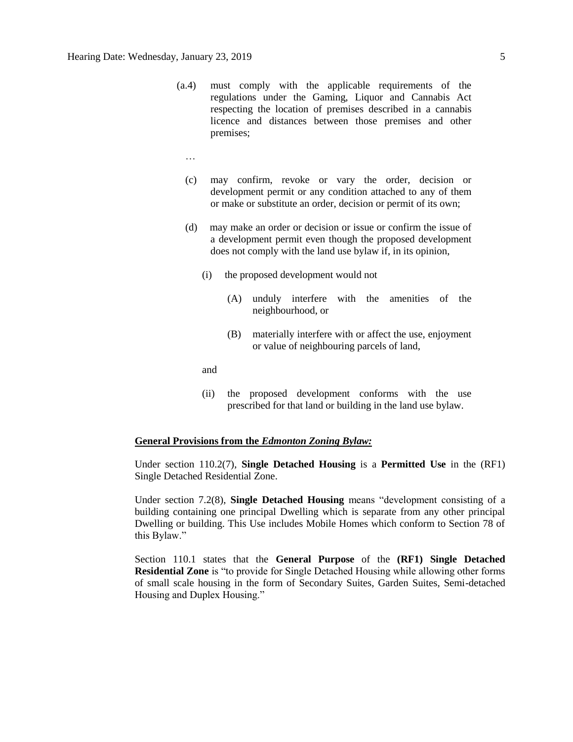- (a.4) must comply with the applicable requirements of the regulations under the Gaming, Liquor and Cannabis Act respecting the location of premises described in a cannabis licence and distances between those premises and other premises;
	- …
	- (c) may confirm, revoke or vary the order, decision or development permit or any condition attached to any of them or make or substitute an order, decision or permit of its own;
	- (d) may make an order or decision or issue or confirm the issue of a development permit even though the proposed development does not comply with the land use bylaw if, in its opinion,
		- (i) the proposed development would not
			- (A) unduly interfere with the amenities of the neighbourhood, or
			- (B) materially interfere with or affect the use, enjoyment or value of neighbouring parcels of land,

and

(ii) the proposed development conforms with the use prescribed for that land or building in the land use bylaw.

#### **General Provisions from the** *Edmonton Zoning Bylaw:*

Under section 110.2(7), **Single Detached Housing** is a **Permitted Use** in the (RF1) Single Detached Residential Zone.

Under section 7.2(8), **Single Detached Housing** means "development consisting of a building containing one principal Dwelling which is separate from any other principal Dwelling or building. This Use includes Mobile Homes which conform to Section 78 of this Bylaw."

Section 110.1 states that the **General Purpose** of the **(RF1) Single Detached Residential Zone** is "to provide for Single Detached Housing while allowing other forms of small scale housing in the form of Secondary Suites, Garden Suites, Semi-detached Housing and Duplex Housing."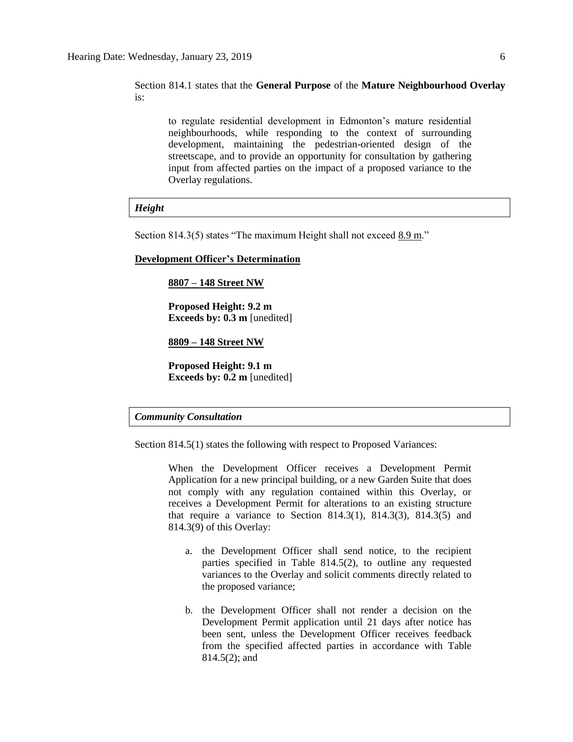Section 814.1 states that the **General Purpose** of the **Mature Neighbourhood Overlay** is:

to regulate residential development in Edmonton's mature residential neighbourhoods, while responding to the context of surrounding development, maintaining the pedestrian-oriented design of the streetscape, and to provide an opportunity for consultation by gathering input from affected parties on the impact of a proposed variance to the Overlay regulations.

#### *Height*

Section 814.3(5) states "The maximum Height shall not exceed 8.9 m."

#### **Development Officer's Determination**

#### **8807 – 148 Street NW**

**Proposed Height: 9.2 m Exceeds by: 0.3 m** [unedited]

**8809 – 148 Street NW**

**Proposed Height: 9.1 m Exceeds by: 0.2 m** [unedited]

### *Community Consultation*

Section 814.5(1) states the following with respect to Proposed Variances:

When the Development Officer receives a Development Permit Application for a new principal building, or a new Garden Suite that does not comply with any regulation contained within this Overlay, or receives a Development Permit for alterations to an existing structure that require a variance to Section 814.3(1), 814.3(3), 814.3(5) and 814.3(9) of this Overlay:

- a. the Development Officer shall send notice, to the recipient parties specified in Table 814.5(2), to outline any requested variances to the Overlay and solicit comments directly related to the proposed variance;
- b. the Development Officer shall not render a decision on the Development Permit application until 21 days after notice has been sent, unless the Development Officer receives feedback from the specified affected parties in accordance with Table 814.5(2); and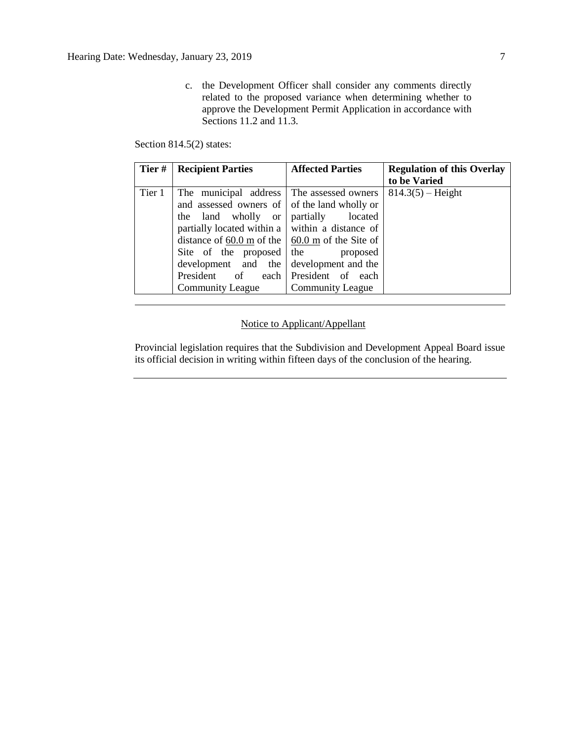c. the Development Officer shall consider any comments directly related to the proposed variance when determining whether to approve the Development Permit Application in accordance with Sections 11.2 and 11.3.

Section 814.5(2) states:

| Tier#  | <b>Recipient Parties</b>                                                                               | <b>Affected Parties</b> | <b>Regulation of this Overlay</b> |  |
|--------|--------------------------------------------------------------------------------------------------------|-------------------------|-----------------------------------|--|
|        |                                                                                                        |                         | to be Varied                      |  |
| Tier 1 | The municipal address The assessed owners                                                              |                         | $814.3(5)$ – Height               |  |
|        | and assessed owners of of the land wholly or                                                           |                         |                                   |  |
|        | the land wholly or                                                                                     | partially<br>located    |                                   |  |
|        | partially located within a $\vert$ within a distance of                                                |                         |                                   |  |
|        | distance of $\underline{60.0 \text{ m}}$ of the $\frac{60.0 \text{ m}}{20.0 \text{ m}}$ of the Site of |                         |                                   |  |
|        | Site of the proposed                                                                                   | the<br>proposed         |                                   |  |
|        | development and the                                                                                    | development and the     |                                   |  |
|        | President<br>of<br>each                                                                                | President of each       |                                   |  |
|        | <b>Community League</b>                                                                                | <b>Community League</b> |                                   |  |

### Notice to Applicant/Appellant

Provincial legislation requires that the Subdivision and Development Appeal Board issue its official decision in writing within fifteen days of the conclusion of the hearing.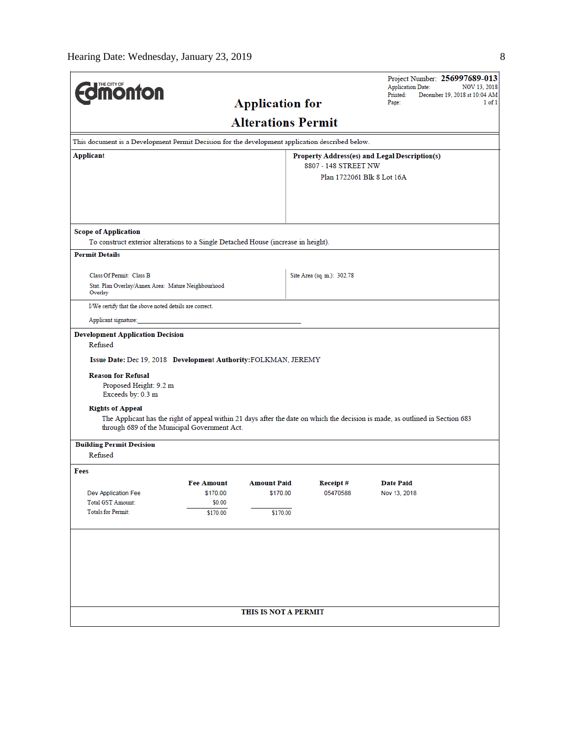|                                                                                                                                                                        |                                              |                        |                            | Project Number: 256997689-013<br><b>Application Date:</b>                                                                     | NOV 13, 2018                            |  |
|------------------------------------------------------------------------------------------------------------------------------------------------------------------------|----------------------------------------------|------------------------|----------------------------|-------------------------------------------------------------------------------------------------------------------------------|-----------------------------------------|--|
| <b>Umönton</b>                                                                                                                                                         |                                              |                        |                            | Printed:<br>Page:                                                                                                             | December 19, 2018 at 10:04 AM<br>1 of 1 |  |
|                                                                                                                                                                        |                                              | <b>Application for</b> |                            |                                                                                                                               |                                         |  |
| <b>Alterations Permit</b>                                                                                                                                              |                                              |                        |                            |                                                                                                                               |                                         |  |
| This document is a Development Permit Decision for the development application described below.                                                                        |                                              |                        |                            |                                                                                                                               |                                         |  |
| Applicant                                                                                                                                                              |                                              |                        |                            | Property Address(es) and Legal Description(s)                                                                                 |                                         |  |
|                                                                                                                                                                        |                                              |                        | 8807 - 148 STREET NW       |                                                                                                                               |                                         |  |
|                                                                                                                                                                        |                                              |                        | Plan 1722061 Blk 8 Lot 16A |                                                                                                                               |                                         |  |
|                                                                                                                                                                        |                                              |                        |                            |                                                                                                                               |                                         |  |
|                                                                                                                                                                        |                                              |                        |                            |                                                                                                                               |                                         |  |
| <b>Scope of Application</b>                                                                                                                                            |                                              |                        |                            |                                                                                                                               |                                         |  |
| To construct exterior alterations to a Single Detached House (increase in height).                                                                                     |                                              |                        |                            |                                                                                                                               |                                         |  |
| <b>Permit Details</b>                                                                                                                                                  |                                              |                        |                            |                                                                                                                               |                                         |  |
| Class Of Permit: Class B                                                                                                                                               |                                              |                        | Site Area (sq. m.): 302.78 |                                                                                                                               |                                         |  |
| Stat. Plan Overlay/Annex Area: Mature Neighbourhood                                                                                                                    |                                              |                        |                            |                                                                                                                               |                                         |  |
| Overlay<br>I/We certify that the above noted details are correct.                                                                                                      |                                              |                        |                            |                                                                                                                               |                                         |  |
|                                                                                                                                                                        |                                              |                        |                            |                                                                                                                               |                                         |  |
| Applicant signature:                                                                                                                                                   |                                              |                        |                            |                                                                                                                               |                                         |  |
| Issue Date: Dec 19, 2018 Development Authority: FOLKMAN, JEREMY<br><b>Reason for Refusal</b><br>Proposed Height: 9.2 m<br>Exceeds by: 0.3 m<br><b>Rights of Appeal</b> | through 689 of the Municipal Government Act. |                        |                            | The Applicant has the right of appeal within 21 days after the date on which the decision is made, as outlined in Section 683 |                                         |  |
|                                                                                                                                                                        |                                              |                        |                            |                                                                                                                               |                                         |  |
| <b>Building Permit Decision</b><br>Refused                                                                                                                             |                                              |                        |                            |                                                                                                                               |                                         |  |
| Fees                                                                                                                                                                   |                                              |                        |                            |                                                                                                                               |                                         |  |
|                                                                                                                                                                        | <b>Fee Amount</b>                            | <b>Amount Paid</b>     | Receipt#                   | <b>Date Paid</b>                                                                                                              |                                         |  |
| Dev Application Fee                                                                                                                                                    | \$170.00                                     | \$170.00               | 05470588                   | Nov 13, 2018                                                                                                                  |                                         |  |
| <b>Total GST Amount:</b><br>Totals for Permit:                                                                                                                         | \$0.00<br>\$170.00                           | \$170.00               |                            |                                                                                                                               |                                         |  |
|                                                                                                                                                                        |                                              |                        |                            |                                                                                                                               |                                         |  |
|                                                                                                                                                                        |                                              |                        |                            |                                                                                                                               |                                         |  |
|                                                                                                                                                                        |                                              |                        |                            |                                                                                                                               |                                         |  |
|                                                                                                                                                                        |                                              |                        |                            |                                                                                                                               |                                         |  |
|                                                                                                                                                                        |                                              |                        |                            |                                                                                                                               |                                         |  |
|                                                                                                                                                                        |                                              |                        |                            |                                                                                                                               |                                         |  |
|                                                                                                                                                                        |                                              |                        |                            |                                                                                                                               |                                         |  |
| THIS IS NOT A PERMIT                                                                                                                                                   |                                              |                        |                            |                                                                                                                               |                                         |  |
|                                                                                                                                                                        |                                              |                        |                            |                                                                                                                               |                                         |  |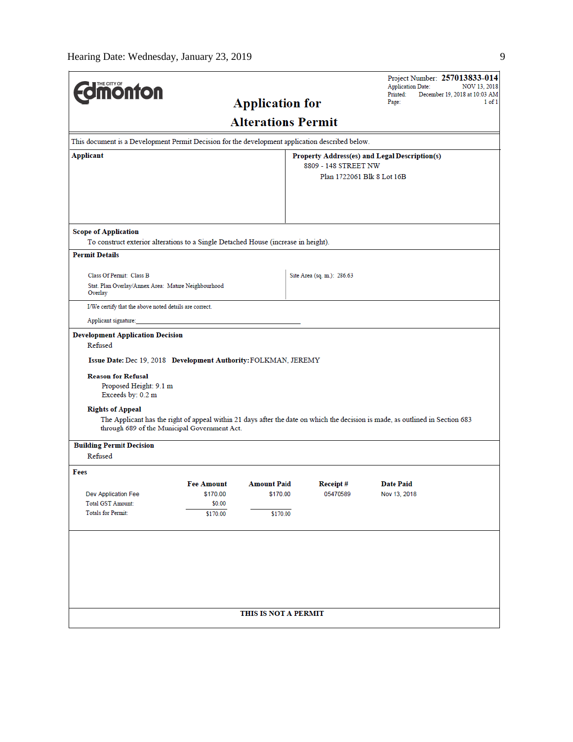| <b><i><u><u><b>MONTON</b></u></u></i></b>                                                                   |                                                                                                                                                                               |                                |                                               | <b>Application Date:</b><br>Printed: | Project Number: 257013833-014<br>NOV 13, 2018<br>December 19, 2018 at 10:03 AM |
|-------------------------------------------------------------------------------------------------------------|-------------------------------------------------------------------------------------------------------------------------------------------------------------------------------|--------------------------------|-----------------------------------------------|--------------------------------------|--------------------------------------------------------------------------------|
|                                                                                                             |                                                                                                                                                                               | <b>Application for</b>         |                                               | Page:                                | $1$ of $1$                                                                     |
|                                                                                                             |                                                                                                                                                                               | <b>Alterations Permit</b>      |                                               |                                      |                                                                                |
| This document is a Development Permit Decision for the development application described below.             |                                                                                                                                                                               |                                |                                               |                                      |                                                                                |
| Applicant                                                                                                   |                                                                                                                                                                               |                                | Property Address(es) and Legal Description(s) |                                      |                                                                                |
|                                                                                                             |                                                                                                                                                                               |                                | 8809 - 148 STREET NW                          | Plan 1722061 Blk 8 Lot 16B           |                                                                                |
|                                                                                                             |                                                                                                                                                                               |                                |                                               |                                      |                                                                                |
|                                                                                                             |                                                                                                                                                                               |                                |                                               |                                      |                                                                                |
|                                                                                                             |                                                                                                                                                                               |                                |                                               |                                      |                                                                                |
| <b>Scope of Application</b>                                                                                 |                                                                                                                                                                               |                                |                                               |                                      |                                                                                |
| To construct exterior alterations to a Single Detached House (increase in height).<br><b>Permit Details</b> |                                                                                                                                                                               |                                |                                               |                                      |                                                                                |
|                                                                                                             |                                                                                                                                                                               |                                |                                               |                                      |                                                                                |
| Class Of Permit: Class B                                                                                    |                                                                                                                                                                               |                                | Site Area (sq. m.): 286.63                    |                                      |                                                                                |
| Stat. Plan Overlay/Annex Area: Mature Neighbourhood<br>Overlay                                              |                                                                                                                                                                               |                                |                                               |                                      |                                                                                |
| I/We certify that the above noted details are correct.                                                      |                                                                                                                                                                               |                                |                                               |                                      |                                                                                |
| Applicant signature:                                                                                        |                                                                                                                                                                               |                                |                                               |                                      |                                                                                |
| <b>Reason for Refusal</b><br>Proposed Height: 9.1 m<br>Exceeds by: 0.2 m<br><b>Rights of Appeal</b>         | The Applicant has the right of appeal within 21 days after the date on which the decision is made, as outlined in Section 683<br>through 689 of the Municipal Government Act. |                                |                                               |                                      |                                                                                |
| <b>Building Permit Decision</b>                                                                             |                                                                                                                                                                               |                                |                                               |                                      |                                                                                |
| Refused                                                                                                     |                                                                                                                                                                               |                                |                                               |                                      |                                                                                |
| Fees                                                                                                        |                                                                                                                                                                               |                                |                                               |                                      |                                                                                |
| Dev Application Fee                                                                                         | <b>Fee Amount</b><br>\$170.00                                                                                                                                                 | <b>Amount Paid</b><br>\$170.00 | Receipt#<br>05470589                          | <b>Date Paid</b><br>Nov 13, 2018     |                                                                                |
| <b>Total GST Amount:</b>                                                                                    | \$0.00                                                                                                                                                                        |                                |                                               |                                      |                                                                                |
| <b>Totals for Permit:</b>                                                                                   | \$170.00                                                                                                                                                                      | \$170.00                       |                                               |                                      |                                                                                |
|                                                                                                             |                                                                                                                                                                               |                                |                                               |                                      |                                                                                |
|                                                                                                             |                                                                                                                                                                               |                                |                                               |                                      |                                                                                |
|                                                                                                             |                                                                                                                                                                               |                                |                                               |                                      |                                                                                |
|                                                                                                             |                                                                                                                                                                               |                                |                                               |                                      |                                                                                |
|                                                                                                             |                                                                                                                                                                               |                                |                                               |                                      |                                                                                |
|                                                                                                             |                                                                                                                                                                               | THIS IS NOT A PERMIT           |                                               |                                      |                                                                                |
|                                                                                                             |                                                                                                                                                                               |                                |                                               |                                      |                                                                                |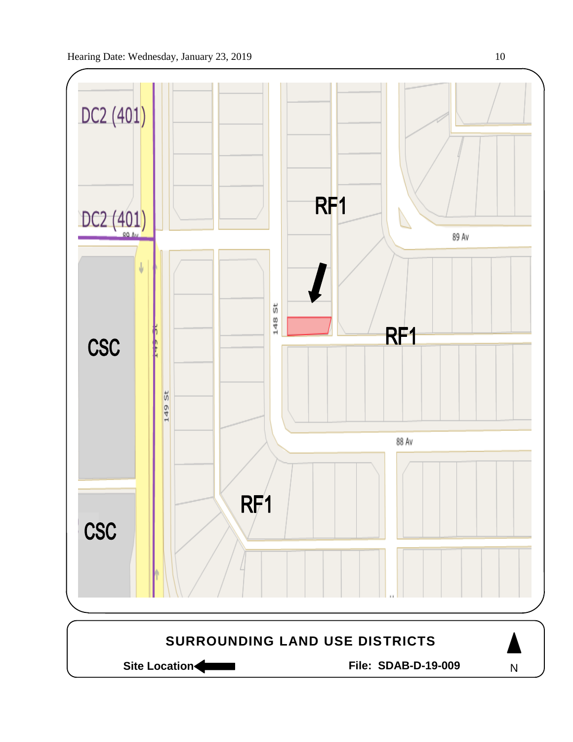

Site Location **Community Contracts** File: SDAB-D-19-009

N